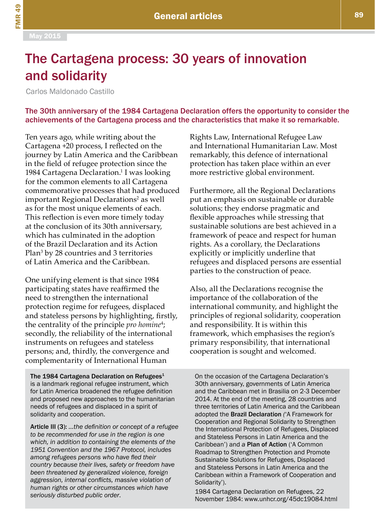## The Cartagena process: 30 years of innovation and solidarity

Carlos Maldonado Castillo

The 30th anniversary of the 1984 Cartagena Declaration offers the opportunity to consider the achievements of the Cartagena process and the characteristics that make it so remarkable.

Ten years ago, while writing about the Cartagena +20 process, I reflected on the journey by Latin America and the Caribbean in the field of refugee protection since the 1984 Cartagena Declaration.<sup>1</sup> I was looking for the common elements to all Cartagena commemorative processes that had produced important Regional Declarations<sup>2</sup> as well as for the most unique elements of each. This reflection is even more timely today at the conclusion of its 30th anniversary, which has culminated in the adoption of the Brazil Declaration and its Action Plan3 by 28 countries and 3 territories of Latin America and the Caribbean.

One unifying element is that since 1984 participating states have reaffirmed the need to strengthen the international protection regime for refugees, displaced and stateless persons by highlighting, firstly, the centrality of the principle *pro homine*<sup>4</sup> ; secondly, the reliability of the international instruments on refugee[s](http://www.microsofttranslator.com/bv.aspx?from=es&to=en&a=http%3A%2F%2F65.55.108.4%2Fbvsandbox.aspx%3F%26dl%3Des%26from%3Des%26to%3Den%23_ftn5) and stateless persons; and, thirdly, the convergence and complementarity of International Human

The 1984 Cartagena Declaration on Refugees<sup>1</sup> is a landmark regional refugee instrument, which for Latin America broadened the refugee definition and proposed new approaches to the humanitarian needs of refugees and displaced in a spirit of solidarity and cooperation.

Article III (3): *…the definition or concept of a refugee to be recommended for use in the region is one which, in addition to containing the elements of the 1951 Convention and the 1967 Protocol, includes among refugees persons who have fled their country because their lives, safety or freedom have been threatened by generalized violence, foreign aggression, internal conflicts, massive violation of human rights or other circumstances which have seriously disturbed public order*.

Rights Law, International Refugee Law and International Humanitarian Law. Most remarkably, this defence of international protection has taken place within an ever more restrictive global environment.

Furthermore, all the Regional Declarations put an emphasis on sustainable or durable solutions; they endorse pragmatic and flexible approaches while stressing that sustainable solutions are best achieved in a framework of peace and respect for human rights. As a corollary, the Declarations explicitly or implicitly underline that refugees and displaced persons are essential parties to the construction of peace.

Also, all the Declarations recognise the importance of the collaboration of the international community, and highlight the principles of regional solidarity, cooperation and responsibility. It is within this framework, which emphasises the region's primary responsibility, that international cooperation is sought and welcomed.

On the occasion of the Cartagena Declaration's 30th anniversary, governments of Latin America and the Caribbean met in Brasilia on 2-3 December 2014. At the end of the meeting, 28 countries and three territories of Latin America and the Caribbean adopted the Brazil Declaration *(*'A Framework for Cooperation and Regional Solidarity to Strengthen the International Protection of Refugees, Displaced and Stateless Persons in Latin America and the Caribbean') and *a* Plan of Action ('A Common Roadmap to Strengthen Protection and Promote Sustainable Solutions for Refugees, Displaced and Stateless Persons in Latin America and the Caribbean within a Framework of Cooperation and Solidarity').

1984 Cartagena Declaration on Refugees, 22 November 1984: www.unhcr.org/45dc19084.html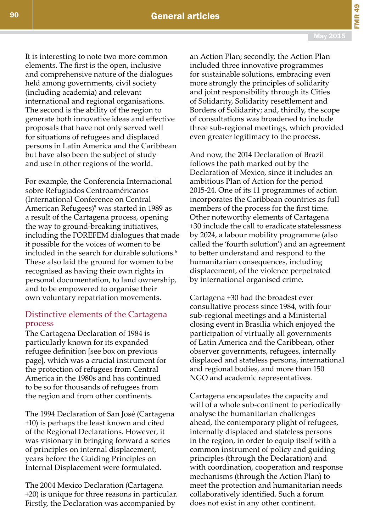FMR 49

It is interesting to note two more common elements. The first is the open, inclusive and comprehensive nature of the dialogues held among governments, civil society (including academia) and relevant international and regional organisations. The second is the ability of the region to generate both innovative ideas and effective proposals that have not only served well for situations of refugees and displaced persons in Latin America and the Caribbean but have also been the subject of study and use in other regions of the world.

For example, the Conferencia Internacional sobre Refugiados Centroaméricanos (International Conference on Central American Refugees)<sup>5</sup> was started in 1989 as a result of the Cartagena process, opening the way to ground-breaking initiatives, including the FOREFEM dialogues that made it possible for the voices of women to be included in the search for durable solutions.<sup>6</sup> These also laid the ground for women to be recognised as having their own rights in personal documentation, to land ownership, and to be empowered to organise their own voluntary repatriation movements.

## Distinctive elements of the Cartagena process

The Cartagena Declaration of 1984 is particularly known for its expanded refugee definition [see box on previous page], which was a crucial instrument for the protection of refugees from Central America in the 1980s and has continued to be so for thousands of refugees from the region and from other continents.

The 1994 Declaration of San José (Cartagena +10) is perhaps the least known and cited of the Regional Declarations. However, it was visionary in bringing forward a series of principles on internal displacement, years before the Guiding Principles on Internal Displacement were formulated.

The 2004 Mexico Declaration (Cartagena +20) is unique for three reasons in particular. Firstly, the Declaration was accompanied by

an Action Plan; secondly, the Action Plan included three innovative programmes for sustainable solutions, embracing even more strongly the principles of solidarity and joint responsibility through its Cities of Solidarity, Solidarity resettlement and Borders of Solidarity; and, thirdly, the scope of consultations was broadened to include three sub-regional meetings, which provided even greater legitimacy to the process.

And now, the 2014 Declaration of Brazil follows the path marked out by the Declaration of Mexico, since it includes an ambitious Plan of Action for the period 2015-24. One of its 11 programmes of action incorporates the Caribbean countries as full members of the process for the first time. Other noteworthy elements of Cartagena +30 include the call to eradicate statelessness by 2024, a labour mobility programme (also called the 'fourth solution') and an agreement to better understand and respond to the humanitarian consequences, including displacement, of the violence perpetrated by international organised crime.

Cartagena +30 had the broadest ever consultative process since 1984, with four sub-regional meetings and a Ministerial closing event in Brasilia which enjoyed the participation of virtually all governments of Latin America and the Caribbean, other observer governments, refugees, internally displaced and stateless persons, international and regional bodies, and more than 150 NGO and academic representatives.

Cartagena encapsulates the capacity and will of a whole sub-continent to periodically analyse the humanitarian challenges ahead, the contemporary plight of refugees, internally displaced and stateless persons in the region, in order to equip itself with a common instrument of policy and guiding principles (through the Declaration) and with coordination, cooperation and response mechanisms (through the Action Plan) to meet the protection and humanitarian needs collaboratively identified. Such a forum does not exist in any other continent.